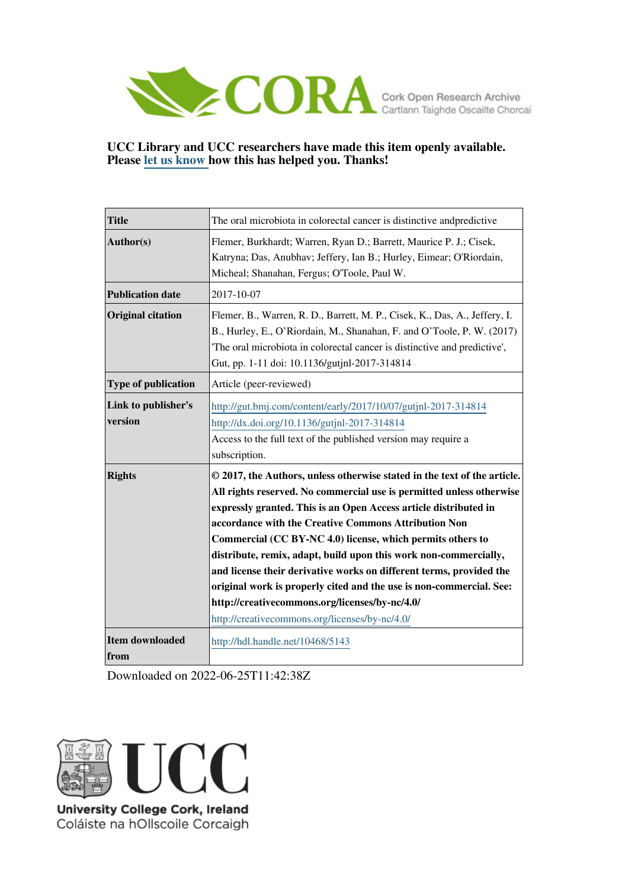

## **UCC Library and UCC researchers have made this item openly available. Please [let us know h](https://libguides.ucc.ie/openaccess/impact?suffix=5143&title=The oral microbiota in colorectal cancer is distinctive andpredictive)ow this has helped you. Thanks!**

| <b>Title</b>                   | The oral microbiota in colorectal cancer is distinctive and predictive                                                                                                                                                                                                                                                                                                                                                                                                                                                                                                                                                                                           |
|--------------------------------|------------------------------------------------------------------------------------------------------------------------------------------------------------------------------------------------------------------------------------------------------------------------------------------------------------------------------------------------------------------------------------------------------------------------------------------------------------------------------------------------------------------------------------------------------------------------------------------------------------------------------------------------------------------|
| Author(s)                      | Flemer, Burkhardt; Warren, Ryan D.; Barrett, Maurice P. J.; Cisek,<br>Katryna; Das, Anubhav; Jeffery, Ian B.; Hurley, Eimear; O'Riordain,<br>Micheal; Shanahan, Fergus; O'Toole, Paul W.                                                                                                                                                                                                                                                                                                                                                                                                                                                                         |
| <b>Publication date</b>        | 2017-10-07                                                                                                                                                                                                                                                                                                                                                                                                                                                                                                                                                                                                                                                       |
| <b>Original citation</b>       | Flemer, B., Warren, R. D., Barrett, M. P., Cisek, K., Das, A., Jeffery, I.<br>B., Hurley, E., O'Riordain, M., Shanahan, F. and O'Toole, P. W. (2017)<br>The oral microbiota in colorectal cancer is distinctive and predictive',<br>Gut, pp. 1-11 doi: 10.1136/gutjnl-2017-314814                                                                                                                                                                                                                                                                                                                                                                                |
| Type of publication            | Article (peer-reviewed)                                                                                                                                                                                                                                                                                                                                                                                                                                                                                                                                                                                                                                          |
| Link to publisher's<br>version | http://gut.bmj.com/content/early/2017/10/07/gutjnl-2017-314814<br>http://dx.doi.org/10.1136/gutjnl-2017-314814<br>Access to the full text of the published version may require a<br>subscription.                                                                                                                                                                                                                                                                                                                                                                                                                                                                |
| <b>Rights</b>                  | © 2017, the Authors, unless otherwise stated in the text of the article.<br>All rights reserved. No commercial use is permitted unless otherwise<br>expressly granted. This is an Open Access article distributed in<br>accordance with the Creative Commons Attribution Non<br>Commercial (CC BY-NC 4.0) license, which permits others to<br>distribute, remix, adapt, build upon this work non-commercially,<br>and license their derivative works on different terms, provided the<br>original work is properly cited and the use is non-commercial. See:<br>http://creativecommons.org/licenses/by-nc/4.0/<br>http://creativecommons.org/licenses/by-nc/4.0/ |
| Item downloaded<br>from        | http://hdl.handle.net/10468/5143                                                                                                                                                                                                                                                                                                                                                                                                                                                                                                                                                                                                                                 |

Downloaded on 2022-06-25T11:42:38Z



Coláiste na hOllscoile Corcaigh